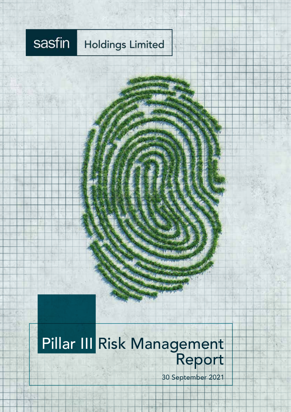### sasfin **Holdings Limited**

# Pillar III Risk Management Report

30 September 2021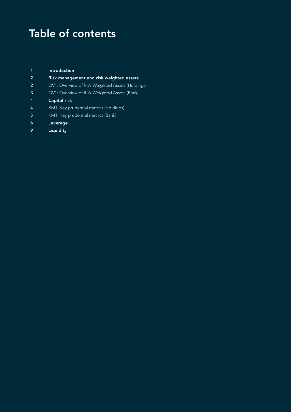## Table of contents

| $\mathbf 1$    | Introduction                                     |
|----------------|--------------------------------------------------|
| $\overline{2}$ | Risk management and risk weighted assets         |
| 2              | OV1: Overview of Risk Weighted Assets (Holdings) |
| 3              | OV1: Overview of Risk Weighted Assets (Bank)     |
| $\overline{4}$ | <b>Capital risk</b>                              |
| $\overline{4}$ | KM1: Key prudential metrics (Holdings)           |
| -5             | KM1: Key prudential metrics (Bank)               |
| 6              | Leverage                                         |
| <u>l</u>       | Liquidity                                        |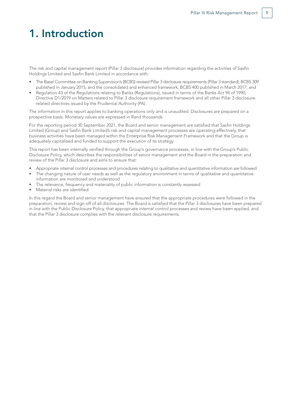### 1. Introduction

The risk and capital management report (Pillar 3 disclosure) provides information regarding the activities of Sasfin Holdings Limited and Sasfin Bank Limited in accordance with:

- The Basel Committee on Banking Supervision's (BCBS) revised Pillar 3 disclosure requirements (Pillar 3 standard), BCBS 309 published in January 2015, and the consolidated and enhanced framework, BCBS 400 published in March 2017; and
- Regulation 43 of the Regulations relating to Banks (Regulations), issued in terms of the Banks Act 94 of 1990, Directive D1/2019 on Matters related to Pillar 3 disclosure requirement framework and all other Pillar 3 disclosurerelated directives issued by the Prudential Authority (PA).

The information in this report applies to banking operations only and is unaudited. Disclosures are prepared on a prospective basis. Monetary values are expressed in Rand thousands.

For the reporting period 30 September 2021, the Board and senior management are satisfied that Sasfin Holdings Limited (Group) and Sasfin Bank Limited's risk and capital management processes are operating effectively, that business activities have been managed within the Enterprise Risk Management Framework and that the Group is adequately capitalised and funded to support the execution of its strategy.

This report has been internally verified through the Group's governance processes, in line with the Group's Public Disclosure Policy, which describes the responsibilities of senior management and the Board in the preparation and review of the Pillar 3 disclosure and aims to ensure that:

- Appropriate internal control processes and procedures relating to qualitative and quantitative information are followed
- The changing nature of user needs as well as the regulatory environment in terms of qualitative and quantitative information are monitored and understood
- The relevance, frequency and materiality of public information is constantly assessed
- Material risks are identified

In this regard the Board and senior management have ensured that the appropriate procedures were followed in the preparation, review and sign-off of all disclosures. The Board is satisfied that the Pillar 3 disclosures have been prepared in line with the Public Disclosure Policy, that appropriate internal control processes and review have been applied, and that the Pillar 3 disclosure complies with the relevant disclosure requirements.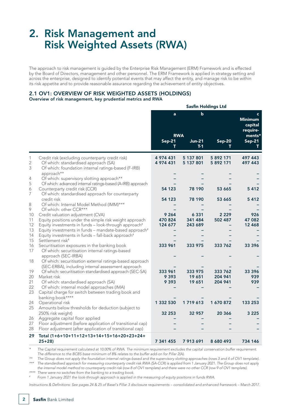### 2. Risk Management and Risk Weighted Assets (RWA)

The approach to risk management is guided by the Enterprise Risk Management (ERM) Framework and is effected by the Board of Directors, management and other personnel. The ERM Framework is applied in strategy setting and across the enterprise, designed to identify potential events that may affect the entity, and manage risk to be within its risk appetite and to provide reasonable assurance regarding the achievement of entity objectives.

#### 2.1 OV1: OVERVIEW OF RISK WEIGHTED ASSETS (HOLDINGS) Overview of risk management, key prudential metrics and RWA

|                          |                                                                                                                                                                 | <b>Sasfin Holdings Ltd</b>    |                               |                        |                                                       |
|--------------------------|-----------------------------------------------------------------------------------------------------------------------------------------------------------------|-------------------------------|-------------------------------|------------------------|-------------------------------------------------------|
|                          |                                                                                                                                                                 | $\mathbf{a}$<br><b>RWA</b>    | $\mathbf b$                   |                        | $\mathbf{C}$<br><b>Minimum</b><br>capital<br>require- |
|                          |                                                                                                                                                                 | <b>Sep-21</b><br>т            | <b>Jun-21</b><br>$T-1$        | <b>Sep-20</b>          | $ments*$<br>$Sep-21$<br>т                             |
| 1<br>$\overline{2}$<br>3 | Credit risk (excluding counterparty credit risk)<br>Of which: standardised approach (SA)<br>Of which: foundation internal ratings-based (F-IRB)<br>approach**   | 4 974 431<br>4 974 431        | 5 137 801<br>5 137 801        | 5 892 171<br>5 892 171 | 497 443<br>497 443                                    |
| 4                        | Of which: supervisory slotting approach**                                                                                                                       |                               |                               |                        |                                                       |
| 5                        | Of which: advanced internal ratings-based (A-IRB) approach                                                                                                      |                               |                               |                        |                                                       |
| 6                        | Counterparty credit risk (CCR)                                                                                                                                  | 54 123                        | 78 190                        | 53 665                 | 5412                                                  |
| 7                        | Of which: standardised approach for counterparty<br>credit risk                                                                                                 | 54 123                        | 78 190                        | 53 665                 | 5412                                                  |
| 8<br>9                   | Of which: Internal Model Method (IMM)***<br>Of which: other CCR***                                                                                              |                               |                               |                        |                                                       |
| 10<br>11<br>12           | Credit valuation adjustment (CVA)<br>Equity positions under the simple risk weight approach<br>Equity investments in funds - look-through approach <sup>#</sup> | 9 2 6 4<br>470 824<br>124 677 | 6 3 3 1<br>341 484<br>243 689 | 2 2 2 9<br>502 487     | 926<br>47 082<br>12 4 68                              |
| 13                       | Equity investments in funds - mandate-based approach#                                                                                                           |                               |                               |                        |                                                       |
| 14                       | Equity investments in funds - fall-back approach <sup>#</sup>                                                                                                   |                               |                               |                        |                                                       |
| 15                       | Settlement risk <sup>#</sup>                                                                                                                                    |                               |                               |                        |                                                       |
| 16<br>17                 | Securitisation exposures in the banking book<br>Of which: securitisation internal ratings-based<br>approach (SEC-IRBA)                                          | 333 961                       | 333 975                       | 333 762                | 33 396                                                |
| 18                       | Of which: securitisation external ratings-based approach<br>(SEC-ERBA), including internal assessment approach                                                  |                               |                               |                        |                                                       |
| 19                       | Of which: securitisation standardised approach (SEC-SA)                                                                                                         | 333 961                       | 333 975                       | 333 762                | 33 396                                                |
| 20                       | Market risk                                                                                                                                                     | 9 3 9 3                       | 19 651                        | 204 941                | 939                                                   |
| 21                       | Of which: standardised approach (SA)                                                                                                                            | 9 3 9 3                       | 19 651                        | 204 941                | 939                                                   |
| 22<br>23                 | Of which: internal model approaches (IMA)<br>Capital charge for switch between trading book and                                                                 |                               |                               |                        |                                                       |
|                          | banking book****                                                                                                                                                |                               |                               |                        |                                                       |
| 24                       | Operational risk                                                                                                                                                | 1 332 530                     | 1 719 613                     | 1670872                | 133 253                                               |
| 25                       | Amounts below thresholds for deduction (subject to                                                                                                              |                               |                               |                        |                                                       |
|                          | 250% risk weight)                                                                                                                                               | 32 253                        | 32 957                        | 20 366                 | 3 2 2 5                                               |
| 26                       | Aggregate capital floor applied                                                                                                                                 |                               |                               |                        |                                                       |
| 27<br>28                 | Floor adjustment (before application of transitional cap)<br>Floor adjustment (after application of transitional cap)                                           |                               |                               |                        |                                                       |
| 29                       | Total (1+6+10+11+12+13+14+15+16+20+23+24+                                                                                                                       |                               |                               |                        |                                                       |
|                          | $25+28$                                                                                                                                                         | 7 341 455                     | 7 913 691                     | 8 680 493              | 734 146                                               |

*\* The Capital requirement calculated at 10.00% of RWA. The minimum requirement excludes the capital conservation buffer requirement. The difference to the BCBS base minimum of 8% relates to the buffer add-on for Pillar 2(A).*

*\*\* The Group does not apply the foundation internal ratings-based and the supervisory slotting approaches (rows 3 and 4 of OV1 template). \*\*\* The standardised approach for measuring counterparty credit risk RWA (SA-CCR) is applied from 1 January 2021. The Group does not apply the internal model method to counterparty credit risk (row 8 of OV1 template) and there were no other CCR (row 9 of OV1 template).*

*\*\*\*\* There were no switches from the banking to a trading book. # From 1 January 2021 the look-through approach is applied in the measuring of equity positions in funds RWA.*

*Instructions & Definitions: See pages 24 & 25 of Basel's Pillar 3 disclosure requirements – consolidated and enhanced framework – March 2017.*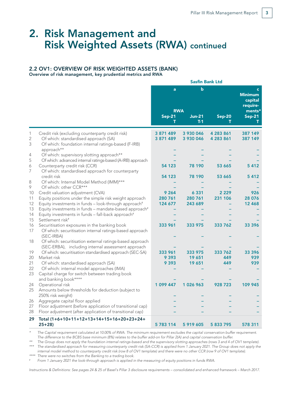### 2. Risk Management and Risk Weighted Assets (RWA) continued

#### 2.2 OV1: OVERVIEW OF RISK WEIGHTED ASSETS (BANK)

Overview of risk management, key prudential metrics and RWA

|                     |                                                                                                                                    | <b>Sasfin Bank Ltd</b> |                        |               |                                                     |
|---------------------|------------------------------------------------------------------------------------------------------------------------------------|------------------------|------------------------|---------------|-----------------------------------------------------|
|                     |                                                                                                                                    | a                      | b                      |               | $\epsilon$<br><b>Minimum</b><br>capital<br>require- |
|                     |                                                                                                                                    |                        | <b>RWA</b>             |               | ments*                                              |
|                     |                                                                                                                                    | <b>Sep-21</b>          | <b>Jun-21</b><br>$T-1$ | <b>Sep-20</b> | $Sep-21$                                            |
| 1                   | Credit risk (excluding counterparty credit risk)                                                                                   | 3 871 489              | 3 930 046              | 4 283 861     | 387 149                                             |
| $\overline{2}$<br>3 | Of which: standardised approach (SA)                                                                                               | 3 871 489              | 3 930 046              | 4 283 861     | 387 149                                             |
|                     | Of which: foundation internal ratings-based (F-IRB)<br>approach**                                                                  |                        |                        |               |                                                     |
| 4                   | Of which: supervisory slotting approach**                                                                                          |                        |                        |               |                                                     |
| 5                   | Of which: advanced internal ratings-based (A-IRB) approach                                                                         |                        |                        |               |                                                     |
| 6                   | Counterparty credit risk (CCR)                                                                                                     | 54 123                 | 78 190                 | 53 665        | 5412                                                |
| 7                   | Of which: standardised approach for counterparty<br>credit risk                                                                    | 54 123                 | 78 190                 | 53 665        | 5412                                                |
| 8                   | Of which: Internal Model Method (IMM)***                                                                                           |                        |                        |               |                                                     |
| 9                   | Of which: other CCR***                                                                                                             |                        |                        |               |                                                     |
| 10                  | Credit valuation adjustment (CVA)                                                                                                  | 9 2 6 4                | 6 3 3 1                | 2 2 2 9       | 926                                                 |
| 11                  | Equity positions under the simple risk weight approach                                                                             | 280 761                | 280 761                | 231 106       | 28 076                                              |
| 12                  | Equity investments in funds - look-through approach <sup>#</sup>                                                                   | 124 677                | 243 689                |               | 12 4 68                                             |
| 13<br>14            | Equity investments in funds - mandate-based approach <sup>#</sup><br>Equity investments in funds - fall-back approach <sup>#</sup> |                        |                        |               |                                                     |
| 15                  | Settlement risk <sup>#</sup>                                                                                                       |                        |                        |               |                                                     |
| 16                  | Securitisation exposures in the banking book                                                                                       | 333 961                | 333 975                | 333 762       | 33 396                                              |
| 17                  | Of which: securitisation internal ratings-based approach                                                                           |                        |                        |               |                                                     |
|                     | (SEC-IRBA)                                                                                                                         |                        |                        |               |                                                     |
| 18                  | Of which: securitisation external ratings-based approach<br>(SEC-ERBA), including internal assessment approach                     |                        |                        |               |                                                     |
| 19                  | Of which: securitisation standardised approach (SEC-SA)                                                                            | 333 961                | 333 975                | 333 762       | 33 396                                              |
| 20                  | Market risk                                                                                                                        | 9 3 9 3                | 19 651                 | 449           | 939                                                 |
| 21                  | Of which: standardised approach (SA)                                                                                               | 9 3 9 3                | 19 651                 | 449           | 939                                                 |
| 22                  | Of which: internal model approaches (IMA)                                                                                          |                        |                        |               |                                                     |
| 23                  | Capital charge for switch between trading book                                                                                     |                        |                        |               |                                                     |
| 24                  | and banking book****<br>Operational risk                                                                                           | 1 099 447              | 1026963                | 928 723       | 109 945                                             |
| 25                  | Amounts below thresholds for deduction (subject to                                                                                 |                        |                        |               |                                                     |
|                     | 250% risk weight)                                                                                                                  |                        |                        |               |                                                     |
| 26                  | Aggregate capital floor applied                                                                                                    |                        |                        |               |                                                     |
| 27                  | Floor adjustment (before application of transitional cap)                                                                          |                        |                        |               |                                                     |
| 28                  | Floor adjustment (after application of transitional cap)                                                                           |                        |                        |               |                                                     |
| 29                  | Total (1+6+10+11+12+13+14+15+16+20+23+24+                                                                                          |                        |                        |               |                                                     |
|                     | $25+28$                                                                                                                            | 5783114                | 5 919 605              | 5 833 795     | 578 311                                             |

*\* The Capital requirement calculated at 10.00% of RWA. The minimum requirement excludes the capital conservation buffer requirement. The difference to the BCBS base minimum (8%) relates to the buffer add-on for Pillar 2(A) and capital conservation buffer.*

*\*\* The Group does not apply the foundation internal ratings-based and the supervisory slotting approaches (rows 3 and 4 of OV1 template). \*\*\* The standardised approach for measuring counterparty credit risk (SA-CCR) is applied from 1 January 2021. The Group does not apply the internal model method to counterparty credit risk (row 8 of OV1 template) and there were no other CCR (row 9 of OV1 template).*

*\*\*\*\* There were no switches from the Banking to a trading book.*

*# From 1 January 2021 the look-through approach is applied in the measuring of equity positions in funds RWA.*

*Instructions & Definitions: See pages 24 & 25 of Basel's Pillar 3 disclosure requirements – consolidated and enhanced framework – March 2017.*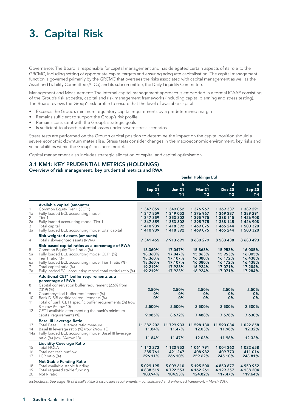## 3. Capital Risk

Governance: The Board is responsible for capital management and has delegated certain aspects of its role to the GRCMC, including setting of appropriate capital targets and ensuring adequate capitalisation. The capital management function is governed primarily by the GRCMC that oversees the risks associated with capital management as well as the Asset and Liability Committee (ALCo) and its subcommittee, the Daily Liquidity Committee.

Management and Measurement: The internal capital management approach is embedded in a formal ICAAP consisting of the Group's risk appetite, capital and risk management frameworks (including capital planning and stress testing). The Board reviews the Group's risk profile to ensure that the level of available capital:

- Exceeds the Group's minimum regulatory capital requirements by a predetermined margin
- Remains sufficient to support the Group's risk profile
- Remains consistent with the Group's strategic goals
- Is sufficient to absorb potential losses under severe stress scenarios

Stress tests are performed on the Group's capital position to determine the impact on the capital position should a severe economic downturn materialise. Stress tests consider changes in the macroeconomic environment, key risks and vulnerabilities within the Group's business model.

Sasfin Holdings Ltd

Capital management also includes strategic allocation of capital and capital optimisation.

### 3.1 KM1: KEY PRUDENTIAL METRICS (HOLDINGS)

### Overview of risk management, key prudential metrics and RWA

|                               |                                                                                                                                                                                                                                                                                                    | <b>Sastin Holdings Ltd</b>                                             |                                                                          |                                                                            |                                                                            |                                                                          |
|-------------------------------|----------------------------------------------------------------------------------------------------------------------------------------------------------------------------------------------------------------------------------------------------------------------------------------------------|------------------------------------------------------------------------|--------------------------------------------------------------------------|----------------------------------------------------------------------------|----------------------------------------------------------------------------|--------------------------------------------------------------------------|
|                               |                                                                                                                                                                                                                                                                                                    | a<br><b>Sep-21</b><br>т                                                | $\mathbf b$<br><b>Jun-21</b><br>$T-1$                                    | $\mathbf{c}$<br><b>Mar-21</b><br>$T-2$                                     | d<br><b>Dec-20</b><br>$T-3$                                                | e<br><b>Sep-20</b><br>$T-4$                                              |
| 1<br>1a<br>2<br>2a<br>3<br>3a | Available capital (amounts)<br>Common Equity Tier 1 (CET1)<br>Fully loaded ECL accounting model<br>Tier 1<br>Fully loaded accounting model Tier 1<br>Total capital<br>Fully loaded ECL accounting model total capital                                                                              | 1 347 859<br>1 347 859<br>1 347 859<br>1 347 859<br>1410939<br>1410939 | 1 349 052<br>1 349 052<br>1 353 802<br>1 353 802<br>1418392<br>1 418 392 | 1 376 967<br>1 376 967<br>1 395 775<br>1 395 775<br>1 469 075<br>1 469 075 | 1 369 337<br>1 369 337<br>1 388 145<br>1 388 145<br>1 465 244<br>1 465 244 | 1 389 291<br>1 389 291<br>1 426 908<br>1426908<br>1 500 320<br>1 500 320 |
| $\overline{4}$                | Risk-weighted assets (amounts)<br>Total risk-weighted assets (RWA)                                                                                                                                                                                                                                 | 7 341 455                                                              | 7 913 691                                                                | 8 680 279                                                                  | 8 5 8 3 4 3 8                                                              | 8 680 493                                                                |
| 5<br>5a<br>6<br>6a<br>7<br>7a | Risk-based capital ratios as a percentage of RWA<br>Common Equity Tier 1 ratio (%)<br>Fully loaded ECL accounting model CET1 (%)<br>Tier 1 ratio (%)<br>Fully loaded ECL accounting model Tier 1 ratio (%)<br>Total capital ratio (%)<br>Fully loaded ECL accounting model total capital ratio (%) | 18.360%<br>18.360%<br>18.360%<br>18.360%<br>19.219%<br>19.219%         | 17.047%<br>17.047%<br>17.107%<br>17.107%<br>17.923%<br>17.923%           | 15.863%<br>15.863%<br>16.080%<br>16.080%<br>16.924%<br>16.924%             | 15.953%<br>15.953%<br>16.172%<br>16.172%<br>17.071%<br>17.071%             | 16.005%<br>16.005%<br>16.438%<br>16.438%<br>17.284%<br>17.284%           |
|                               | Additional CET1 buffer requirements as a<br>percentage of RWA                                                                                                                                                                                                                                      |                                                                        |                                                                          |                                                                            |                                                                            |                                                                          |
| 8<br>9<br>10<br>11            | Capital conservation buffer requirement (2.5% from<br>2019) (%)<br>Countercyclical buffer requirement (%)<br>Bank D-SIB additional requirements (%)<br>Total of bank CET1 specific buffer requirements (%) (row                                                                                    | 2.50%<br>0%<br>0%                                                      | 2.50%<br>0%<br>0%                                                        | 2.50%<br>0%<br>0%                                                          | 2.50%<br>0%<br>0%                                                          | 2.50%<br>$0\%$<br>0%                                                     |
| 12                            | $8 + row 9 + row 10$<br>CET1 available after meeting the bank's minimum                                                                                                                                                                                                                            | 2.500%                                                                 | 2.500%                                                                   | 2.500%                                                                     | 2.500%                                                                     | 2.500%                                                                   |
|                               | capital requirements (%)                                                                                                                                                                                                                                                                           | 9.985%                                                                 | 8.672%                                                                   | 7.488%                                                                     | 7.578%                                                                     | 7.630%                                                                   |
| 13<br>14                      | <b>Basel III Leverage Ratio</b><br>Total Basel III leverage ratio measure<br>Basel III leverage ratio (%) (row 2/row 13)<br>14a Fully loaded ECL accounting model Basel III leverage<br>ratio (%) (row 2A/row 13)                                                                                  | 11 382 202<br>11.84%<br>11.84%                                         | 11 799 933<br>11.47%<br>11.47%                                           | 11 598 130<br>12.03%<br>12.03%                                             | 11 590 084<br>11.98%<br>11.98%                                             | 1022658<br>12.32%<br>12.32%                                              |
| 15<br>16<br>17                | <b>Liquidity Coverage Ratio</b><br>Total HQLA<br>Total net cash outflow<br>LCR ratio (%)                                                                                                                                                                                                           | 1 142 272<br>385 761<br>296.11%                                        | 1 120 952<br>421 247<br>266.10%                                          | 1 061 791<br>408 982<br>259.62%                                            | 1 004 362<br>409 773<br>245.10%                                            | 1 022 658<br>411 016<br>248.81%                                          |
| 18<br>19<br>20                | <b>Net Stable Funding Ratio</b><br>Total available stable funding<br>Total required stable funding<br><b>NSFR</b> ratio                                                                                                                                                                            | 5 029 195<br>4 8 38 5 19<br>103.94%                                    | 5 009 610<br>4792553<br>104.53%                                          | 5 195 500<br>4 162 261<br>124.82%                                          | 4 8 5 0 8 7 7<br>4 129 357<br>117.47%                                      | 4 950 952<br>4 138 204<br>119.64%                                        |

*Instructions: See page 18 of Basel's Pillar 3 disclosure requirements – consolidated and enhanced framework – March 2017.*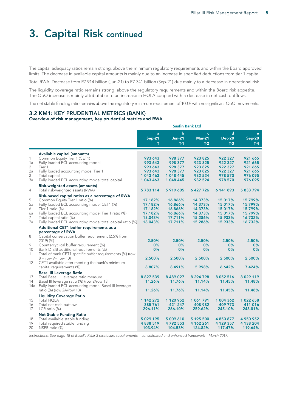### 3. Capital Risk continued

The capital adequacy ratios remain strong, above the minimum regulatory requirements and within the Board approved limits. The decrease in available capital amounts is mainly due to an increase in specified deductions from tier 1 capital.

Total RWA: Decrease from R7.914 billion (Jun-21) to R7.341 billion (Sep-21) due mainly to a decrease in operational risk.

The liquidity coverage ratio remains strong, above the regulatory requirements and within the Board risk appetite. The QoQ increase is mainly attributable to an increase in HQLA coupled with a decrease in net cash outflows.

The net stable funding ratio remains above the regulatory minimum requirement of 100% with no significant QoQ movements.

#### 3.2 KM1: KEY PRUDENTIAL METRICS (BANK)

#### Overview of risk management, key prudential metrics and RWA

|         |                                                                         | <b>Sasfin Bank Ltd</b> |                        |                        |                            |                        |  |
|---------|-------------------------------------------------------------------------|------------------------|------------------------|------------------------|----------------------------|------------------------|--|
|         |                                                                         | a                      | $\mathbf b$            |                        | $\mathbf d$<br>$\mathbf c$ |                        |  |
|         |                                                                         | <b>Sep-21</b><br>т     | <b>Jun-21</b><br>$T-1$ | <b>Mar-21</b><br>$T-2$ | <b>Dec-20</b><br>$T-3$     | <b>Sep-20</b><br>$T-4$ |  |
|         |                                                                         |                        |                        |                        |                            |                        |  |
|         | Available capital (amounts)                                             |                        |                        |                        |                            |                        |  |
| 1       | Common Equity Tier 1 (CET1)                                             | 993 643                | 998 377                | 923 825                | 922 327                    | 921 665                |  |
| 1a      | Fully loaded ECL accounting model                                       | 993 643                | 998 377                | 923 825                | 922 327                    | 921 665                |  |
| 2       | Tier 1                                                                  | 993 643                | 998 377                | 923 825                | 922 327                    | 921 665                |  |
| 2a      | Fully loaded accounting model Tier 1                                    | 993 643                | 998 377                | 923 825                | 922 327                    | 921 665                |  |
| 3       | Total capital                                                           | 1 043 463              | 1 048 445              | 982 524                | 978 570                    | 976 095                |  |
| За      | Fully loaded ECL accounting model total capital                         | 1 043 463              | 1 048 445              | 982 524                | 978 570                    | 976 095                |  |
|         | Risk-weighted assets (amounts)                                          |                        |                        |                        |                            |                        |  |
| 4       | Total risk-weighted assets (RWA)                                        | 5783114                | 5 919 605              | 6 427 726              | 6 141 893                  | 5 833 794              |  |
|         | Risk-based capital ratios as a percentage of RWA                        |                        |                        |                        |                            |                        |  |
| 5       | Common Equity Tier 1 ratio (%)                                          | 17.182%                | 16.866%                | 14.373%                | 15.017%                    | 15.799%                |  |
| 5a<br>6 | Fully loaded ECL accounting model CET1 (%)<br>Tier 1 ratio (%)          | 17.182%<br>17.182%     | 16.866%<br>16.866%     | 14.373%<br>14.373%     | 15.017%<br>15.017%         | 15.799%<br>15.799%     |  |
| 6a      | Fully loaded ECL accounting model Tier 1 ratio (%)                      | 17.182%                | 16.866%                | 14.373%                | 15.017%                    | 15.799%                |  |
| 7       | Total capital ratio (%)                                                 | 18.043%                | 17.711%                | 15.286%                | 15.933%                    | 16.732%                |  |
| 7a      | Fully loaded ECL accounting model total capital ratio (%)               | 18.043%                | 17.711%                | 15.286%                | 15.933%                    | 16.732%                |  |
|         | Additional CET1 buffer requirements as a                                |                        |                        |                        |                            |                        |  |
|         | percentage of RWA                                                       |                        |                        |                        |                            |                        |  |
| 8       | Capital conservation buffer requirement (2.5% from                      |                        |                        |                        |                            |                        |  |
|         | 2019) (%)                                                               | 2.50%                  | 2.50%                  | 2.50%                  | 2.50%                      | 2.50%                  |  |
| 9       | Countercyclical buffer requirement (%)                                  | 0%                     | 0%                     | 0%                     | 0%                         | 0%                     |  |
| 10      | Bank D-SIB additional requirements (%)                                  | 0%                     | 0%                     | 0%                     | 0%                         | 0%                     |  |
| 11      | Total of bank CET1 specific buffer requirements (%) (row                |                        | 2.500%                 |                        |                            |                        |  |
| 12      | $8 + row 9 + row 10$<br>CET1 available after meeting the bank's minimum | 2.500%                 |                        | 2.500%                 | 2.500%                     | 2.500%                 |  |
|         | capital requirements (%)                                                | 8.807%                 | 8.491%                 | 5.998%                 | 6.642%                     | 7.424%                 |  |
|         | <b>Basel III Leverage Ratio</b>                                         |                        |                        |                        |                            |                        |  |
| 13      | Total Basel III leverage ratio measure                                  | 8 8 27 5 39            | 8 489 027              | 8 294 798              | 8 0 5 2 5 1 6              | 8 0 29 119             |  |
| 14      | Basel III leverage ratio (%) (row 2/row 13)                             | 11.26%                 | 11.76%                 | 11.14%                 | 11.45%                     | 11.48%                 |  |
|         | 14a Fully loaded ECL accounting model Basel III leverage                |                        |                        |                        |                            |                        |  |
|         | ratio (%) (row 2A/row 13)                                               | 11.26%                 | 11.76%                 | 11.14%                 | 11.45%                     | 11.48%                 |  |
|         | <b>Liquidity Coverage Ratio</b>                                         |                        |                        |                        |                            |                        |  |
| 15      | Total HQLA                                                              | 1 142 272              | 1 120 952              | 1 061 791              | 1 004 362                  | 1022658                |  |
| 16      | Total net cash outflow                                                  | 385 761                | 421 247                | 408 982                | 409 773                    | 411 016                |  |
| 17      | LCR ratio (%)                                                           | 296.11%                | 266.10%                | 259.62%                | 245.10%                    | 248.81%                |  |
|         | Net Stable Funding Ratio                                                |                        |                        |                        |                            |                        |  |
| 18      | Total available stable funding                                          | 5 029 195              | 5 009 610              | 5 195 500              | 4 850 877                  | 4 950 952              |  |
| 19      | Total required stable funding                                           | 4 838 519              | 4792553                | 4 162 261              | 4 129 357                  | 4 138 204              |  |
| 20      | NSFR ratio (%)                                                          | 103.94%                | 104.53%                | 124.82%                | 117.47%                    | 119.64%                |  |

*Instructions: See page 18 of Basel's Pillar 3 disclosure requirements – consolidated and enhanced framework – March 2017.*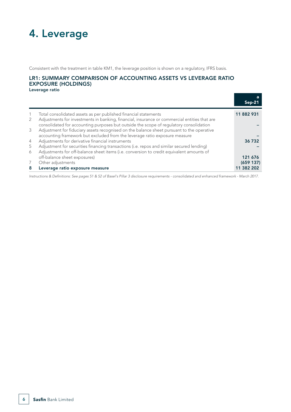## 4. Leverage

Consistent with the treatment in table KM1, the leverage position is shown on a regulatory, IFRS basis.

### LR1: SUMMARY COMPARISON OF ACCOUNTING ASSETS VS LEVERAGE RATIO EXPOSURE (HOLDINGS)

Leverage ratio

|   |                                                                                                                                                                                        | а<br>Sep-2 |
|---|----------------------------------------------------------------------------------------------------------------------------------------------------------------------------------------|------------|
|   | Total consolidated assets as per published financial statements                                                                                                                        | 11 882 931 |
| 2 | Adjustments for investments in banking, financial, insurance or commercial entities that are<br>consolidated for accounting purposes but outside the scope of regulatory consolidation |            |
| 3 | Adjustment for fiduciary assets recognised on the balance sheet pursuant to the operative<br>accounting framework but excluded from the leverage ratio exposure measure                |            |
| 4 | Adjustments for derivative financial instruments                                                                                                                                       | 36 732     |
| 5 | Adjustment for securities financing transactions (i.e. repos and similar secured lending)                                                                                              |            |
| 6 | Adjustments for off-balance sheet items (i.e. conversion to credit equivalent amounts of                                                                                               |            |
|   | off-balance sheet exposures)                                                                                                                                                           | 121 676    |
|   | Other adjustments                                                                                                                                                                      | (659137)   |
| 8 | Leverage ratio exposure measure                                                                                                                                                        | 11 382 202 |

*Instructions & Definitions: See pages 51 & 52 of Basel's Pillar 3 disclosure requirements - consolidated and enhanced framework - March 2017.*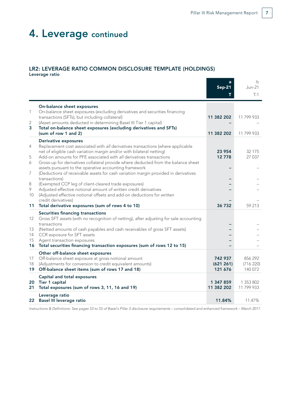### 4. Leverage continued

#### LR2: LEVERAGE RATIO COMMON DISCLOSURE TEMPLATE (HOLDINGS) Leverage ratio

a b Sep-21 Jun-21  $T$  T-1 On-balance sheet exposures 1 On-balance sheet exposures (excluding derivatives and securities financing transactions (SFTs), but including collateral) 11 382 202 11 799 933 2 (Asset amounts deducted in determining Basel III Tier 1 capital) 3 Total on-balance sheet exposures (excluding derivatives and SFTs) (sum of row 1 and 2) 11 382 202 11 799 933 Derivative exposures 4 Replacement cost associated with *all* derivatives transactions (where applicable net of eligible cash variation margin and/or with bilateral netting) 23 954 32 175 5 Add-on amounts for PFE associated with all derivatives transactions 12 778 12 778 27 037 6 Gross-up for derivatives collateral provide where deducted from the balance sheet assets pursuant to the operative accounting framework 7 (Deductions of receivable assets for cash variation margin provided in derivatives transactions) – – 8 (Exempted CCP leg of client-cleared trade exposures) – – 9 Adjusted effective notional amount of written credit derivatives<br>10 (Adjusted effective notional offsets and add-on deductions for v (Adjusted effective notional offsets and add-on deductions for written credit derivatives) 11 Total derivative exposures (sum of rows 4 to 10) 36 732 59 213 Securities financing transactions 12 Gross SFT *assets* (with no recognition of netting), after adjusting for sale accounting transactions – – 13 (Netted amounts of cash payables and cash receivables of gross SFT assets) – – 14 CCR exposure for SFT assets 15 Agent transaction exposures 16 Total securities financing transaction exposures (sum of rows 12 to 15) Other off-balance sheet exposures 17 Off-balance sheet exposure at gross notional amount 742 937 856 292 18 (Adjustments for conversion to credit equivalent amounts) (621 261) (716 220) 19 Off-balance sheet items (sum of rows 17 and 18) 121 676 121 676 140 072 Capital and total exposures 20 Tier 1 capital 1 353 802<br>
21 Total exposures (sum of rows 3, 11, 16 and 19)<br>
21 Total exposures (sum of rows 3, 11, 16 and 19) 21 Total exposures (sum of rows 3, 11, 16 and 19) Leverage ratio 22 Basel III leverage ratio 11.84% 11.47%

*Instructions & Definitions: See pages 53 to 55 of Basel's Pillar 3 disclosure requirements – consolidated and enhanced framework – March 2017.*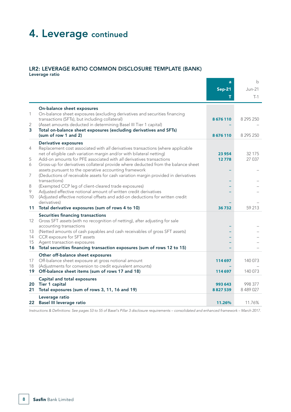### 4. Leverage continued

### LR2: LEVERAGE RATIO COMMON DISCLOSURE TEMPLATE (BANK)

Leverage ratio

|          |                                                                                                                                                         | a             | $\mathbf b$ |
|----------|---------------------------------------------------------------------------------------------------------------------------------------------------------|---------------|-------------|
|          |                                                                                                                                                         | <b>Sep-21</b> | Jun-21      |
|          |                                                                                                                                                         |               | $T-1$       |
|          | On-balance sheet exposures                                                                                                                              |               |             |
| 1        | On-balance sheet exposures (excluding derivatives and securities financing                                                                              |               |             |
| 2        | transactions (SFTs), but including collateral)<br>(Asset amounts deducted in determining Basel III Tier 1 capital)                                      | 8676110       | 8 295 250   |
| 3        | Total on-balance sheet exposures (excluding derivatives and SFTs)                                                                                       |               |             |
|          | (sum of row 1 and 2)                                                                                                                                    | 8676110       | 8 295 250   |
|          | <b>Derivative exposures</b>                                                                                                                             |               |             |
| 4        | Replacement cost associated with all derivatives transactions (where applicable<br>net of eligible cash variation margin and/or with bilateral netting) | 23 954        | 32 175      |
| 5        | Add-on amounts for PFE associated with all derivatives transactions                                                                                     | 12778         | 27 037      |
| 6        | Gross-up for derivatives collateral provide where deducted from the balance sheet                                                                       |               |             |
| 7        | assets pursuant to the operative accounting framework<br>(Deductions of receivable assets for cash variation margin provided in derivatives             |               |             |
|          | transactions)                                                                                                                                           |               |             |
| 8        | (Exempted CCP leg of client-cleared trade exposures)                                                                                                    |               |             |
| 9        | Adjusted effective notional amount of written credit derivatives                                                                                        |               |             |
| 10       | (Adjusted effective notional offsets and add-on deductions for written credit<br>derivatives)                                                           |               |             |
| 11       | Total derivative exposures (sum of rows 4 to 10)                                                                                                        | 36732         | 59 213      |
|          | Securities financing transactions                                                                                                                       |               |             |
| 12       | Gross SFT assets (with no recognition of netting), after adjusting for sale                                                                             |               |             |
|          | accounting transactions                                                                                                                                 |               |             |
| 13<br>14 | (Netted amounts of cash payables and cash receivables of gross SFT assets)<br>CCR exposure for SFT assets                                               |               |             |
| 15       | Agent transaction exposures                                                                                                                             |               |             |
|          | 16 Total securities financing transaction exposures (sum of rows 12 to 15)                                                                              |               |             |
|          | Other off-balance sheet exposures                                                                                                                       |               |             |
| 17<br>18 | Off-balance sheet exposure at gross notional amount<br>(Adjustments for conversion to credit equivalent amounts)                                        | 114 697       | 140 073     |
| 19       | Off-balance sheet items (sum of rows 17 and 18)                                                                                                         | 114 697       | 140 073     |
|          | Capital and total exposures                                                                                                                             |               |             |
| 20       | Tier 1 capital                                                                                                                                          | 993 643       | 998 377     |
| 21       | Total exposures (sum of rows 3, 11, 16 and 19)                                                                                                          | 8827539       | 8 489 027   |
|          | Leverage ratio                                                                                                                                          |               | 11.76%      |
|          | 22 Basel III leverage ratio                                                                                                                             | 11.26%        |             |

*Instructions & Definitions: See pages 53 to 55 of Basel's Pillar 3 disclosure requirements – consolidated and enhanced framework – March 2017.*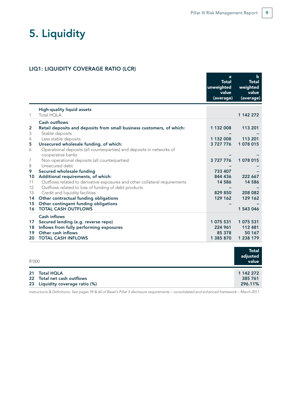## 5. Liquidity

#### LIQ1: LIQUIDITY COVERAGE RATIO (LCR)

|                 |                                                                                                                  | a<br><b>Total</b><br>unweighted<br>value<br>(average) | $\mathbf b$<br><b>Total</b><br>weighted<br>value<br>(average) |
|-----------------|------------------------------------------------------------------------------------------------------------------|-------------------------------------------------------|---------------------------------------------------------------|
| 1               | <b>High-quality liquid assets</b><br><b>Total HOLA</b>                                                           |                                                       | 1 142 272                                                     |
|                 |                                                                                                                  |                                                       |                                                               |
| 2               | <b>Cash outflows</b><br>Retail deposits and deposits from small business customers, of which:                    | 1 132 008                                             | 113 201                                                       |
| 3               | Stable deposits                                                                                                  |                                                       |                                                               |
| 4               | Less stable deposits                                                                                             | 1 132 008                                             | 113 201                                                       |
| 5               | Unsecured wholesale funding, of which:                                                                           | 3727776                                               | 1 078 015                                                     |
| 6               | Operational deposits (all counterparties) and deposits in networks of                                            |                                                       |                                                               |
|                 | cooperative banks                                                                                                |                                                       |                                                               |
| 7               | Non-operational deposits (all counterparties)                                                                    | 3727776                                               | 1 078 015                                                     |
| 8               | Unsecured debt                                                                                                   |                                                       |                                                               |
| 9               | Secured wholesale funding                                                                                        | 733 407                                               |                                                               |
| 10<br>11        | Additional requirements, of which:<br>Outflows related to derivative exposures and other collateral requirements | 844 436<br>14 5 8 6                                   | 222 667<br>14 5 8 6                                           |
| 12              | Outflows related to loss of funding of debt products                                                             |                                                       |                                                               |
| 13              | Credit and liquidity facilities                                                                                  | 829 850                                               | 208 082                                                       |
| 14              | Other contractual funding obligations                                                                            | 129 162                                               | 129 162                                                       |
| 15              | Other contingent funding obligations                                                                             |                                                       |                                                               |
| 16              | <b>TOTAL CASH OUTFLOWS</b>                                                                                       |                                                       | 1 543 046                                                     |
|                 | <b>Cash inflows</b>                                                                                              |                                                       |                                                               |
| 17 <sub>1</sub> | Secured lending (e.g. reverse repo)                                                                              | 1 075 531                                             | 1 075 531                                                     |
| 18              | Inflows from fully performing exposures                                                                          | 224 961                                               | 112 481                                                       |
| 19              | Other cash inflows                                                                                               | 85 378                                                | 50 167                                                        |
| 20              | <b>TOTAL CASH INFLOWS</b>                                                                                        | 1 385 870                                             | 1 238 179                                                     |
|                 |                                                                                                                  |                                                       |                                                               |
| R'000           |                                                                                                                  |                                                       | <b>Total</b><br>adjusted<br>value                             |
| 21              | <b>Total HQLA</b>                                                                                                |                                                       | 1 142 272                                                     |
|                 | .<br>$\sim$ $\sim$                                                                                               |                                                       |                                                               |

22 Total net cash outflows 385 761 23 Liquidity coverage ratio (%) 296.11%

*Instructions & Definitions: See pages 59 & 60 of Basel's Pillar 3 disclosure requirements – consolidated and enhanced framework – March 2017.*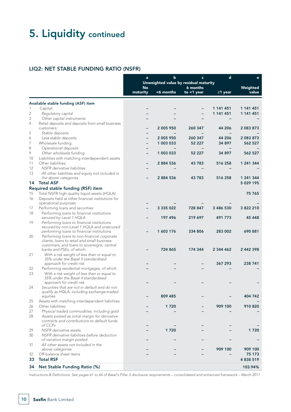## 5. Liquidity continued

### LIQ2: NET STABLE FUNDING RATIO (NSFR)

|                         |                                                                                               | $\mathbf d$<br>$\mathbf b$<br>$\mathbf{a}$<br>$\mathbf{c}$<br>Unweighted value by residual maturity |               |               | $\mathbf e$   |               |
|-------------------------|-----------------------------------------------------------------------------------------------|-----------------------------------------------------------------------------------------------------|---------------|---------------|---------------|---------------|
|                         |                                                                                               | <b>No</b>                                                                                           |               | 6 months      |               | Weighted      |
|                         |                                                                                               | maturity                                                                                            | <6 months     | to $<$ 1 year | $\geq$ 1 year | value         |
|                         | Available stable funding (ASF) item                                                           |                                                                                                     |               |               |               |               |
| 1                       | Capital:                                                                                      |                                                                                                     |               |               | 1 141 451     | 1 141 451     |
| $\overline{2}$          | Regulatory capital                                                                            |                                                                                                     |               |               | 1 141 451     | 1 141 451     |
| 3                       | Other capital instruments                                                                     |                                                                                                     |               |               |               |               |
| 4                       | Retail deposits and deposits from small business                                              |                                                                                                     |               |               |               |               |
|                         | customers:                                                                                    |                                                                                                     | 2 005 950     | 260 347       | 44 206        | 2 083 873     |
| 5                       | Stable deposits                                                                               |                                                                                                     |               |               |               |               |
| 6                       | Less stable deposits                                                                          | $\overline{\phantom{0}}$                                                                            | 2 005 950     | 260 347       | 44 206        | 2 083 873     |
| 7                       | Wholesale funding:                                                                            |                                                                                                     | 1 003 033     | 52 227        | 34 897        | 562 527       |
| 8                       | Operational deposits                                                                          |                                                                                                     |               |               |               |               |
| 9                       | Other wholesale funding                                                                       |                                                                                                     | 1 003 033     | 52 227        | 34 897        | 562 527       |
| 10                      | Liabilities with matching interdependent assets<br>Other liabilities:                         |                                                                                                     |               | 43783         | 516 258       |               |
| 11<br>$12 \overline{ }$ | NSFR derivative liabilities                                                                   |                                                                                                     | 2884536       |               |               | 1 241 344     |
| 13                      | All other liabilities and equity not included in                                              |                                                                                                     |               |               |               |               |
|                         | the above categories                                                                          |                                                                                                     | 2884536       | 43783         | 516 258       | 1 241 344     |
| 14                      | <b>Total ASF</b>                                                                              |                                                                                                     |               |               |               | 5 0 29 1 9 5  |
|                         | Required stable funding (RSF) item                                                            |                                                                                                     |               |               |               |               |
| 15                      | Total NSFR high-quality liquid assets (HQLA)                                                  |                                                                                                     |               |               |               | 75 765        |
| 16                      | Deposits held at other financial institutions for                                             |                                                                                                     |               |               |               |               |
|                         | operational purposes                                                                          |                                                                                                     |               |               |               |               |
| 17                      | Performing loans and securities:                                                              |                                                                                                     | 3 3 3 5 0 2 2 | 728 847       | 3 486 530     | 3 822 210     |
| 18                      | Performing loans to financial institutions                                                    |                                                                                                     |               |               |               |               |
|                         | secured by Level 1 HQLA                                                                       |                                                                                                     | 197 496       | 219 697       | 491 773       | 45 448        |
| 19                      | Performing loans to financial institutions                                                    |                                                                                                     |               |               |               |               |
|                         | secured by non-Level 1 HQLA and unsecured<br>performing loans to financial institutions       |                                                                                                     | 1603176       | 334 806       | 283 002       | 690 881       |
| 20                      | Performing loans to non-financial corporate                                                   |                                                                                                     |               |               |               |               |
|                         | clients, loans to retail and small business                                                   |                                                                                                     |               |               |               |               |
|                         | customers, and loans to sovereigns, central                                                   |                                                                                                     |               |               |               |               |
|                         | banks and PSEs, of which:                                                                     |                                                                                                     | 724 865       | 174 344       | 2 344 462     | 2 442 398     |
| 21                      | With a risk weight of less than or equal to                                                   |                                                                                                     |               |               |               |               |
|                         | 35% under the Basel II standardised<br>approach for credit risk                               |                                                                                                     |               |               | 367 293       | 238 741       |
| 22                      | Performing residential mortgages, of which:                                                   |                                                                                                     |               |               |               |               |
| 23                      | With a risk weight of less than or equal to                                                   |                                                                                                     |               |               |               |               |
|                         | 35% under the Basel II standardised                                                           |                                                                                                     |               |               |               |               |
|                         | approach for credit risk                                                                      |                                                                                                     |               |               |               |               |
| 24                      | Securities that are not in default and do not                                                 |                                                                                                     |               |               |               |               |
|                         | qualify as HQLA, including exchange-traded                                                    |                                                                                                     |               |               |               |               |
|                         | equities                                                                                      |                                                                                                     | 809 485       |               |               | 404 742       |
| 25                      | Assets with matching interdependent liabilities<br>Other liabilities:                         |                                                                                                     |               |               | 909 100       | 910 820       |
| 26                      |                                                                                               |                                                                                                     | 1720          |               |               |               |
| 27<br>28                | Physical traded commodities, including gold<br>Assets posted as initial margin for derivative |                                                                                                     |               |               |               |               |
|                         | contracts and contributions to default funds                                                  |                                                                                                     |               |               |               |               |
|                         | of CCPs                                                                                       |                                                                                                     |               |               |               |               |
| 29                      | NSFR derivative assets                                                                        |                                                                                                     | 1720          |               |               | 1720          |
| 30                      | NSFR derivative liabilities before deduction                                                  |                                                                                                     |               |               |               |               |
|                         | of variation margin posted                                                                    |                                                                                                     |               |               |               |               |
| 31                      | All other assets not included in the                                                          |                                                                                                     |               |               |               |               |
|                         | above categories                                                                              |                                                                                                     |               |               | 909 100       | 909 100       |
| 32                      | Off-balance sheet items                                                                       |                                                                                                     |               |               |               | 75 173        |
| 33                      | <b>Total RSF</b>                                                                              |                                                                                                     |               |               |               | 4 8 3 8 5 1 9 |
| 34                      | Net Stable Funding Ratio (%)                                                                  |                                                                                                     |               |               |               | 103.94%       |

*Instructions & Definitions: See pages 61 to 64 of Basel's Pillar 3 disclosure requirements – consolidated and enhanced framework – March 2017.*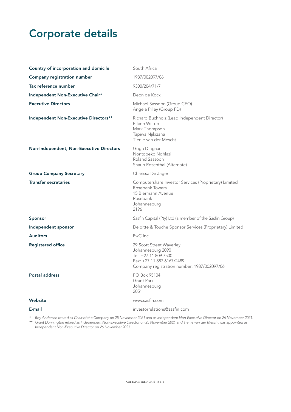## Corporate details

| Country of incorporation and domicile    | South Africa                                                                                                                                      |
|------------------------------------------|---------------------------------------------------------------------------------------------------------------------------------------------------|
| Company registration number              | 1987/002097/06                                                                                                                                    |
| Tax reference number                     | 9300/204/71/7                                                                                                                                     |
| Independent Non-Executive Chair*         | Deon de Kock                                                                                                                                      |
| <b>Executive Directors</b>               | Michael Sassoon (Group CEO)<br>Angela Pillay (Group FD)                                                                                           |
| Independent Non-Executive Directors**    | Richard Buchholz (Lead Independent Director)<br>Eileen Wilton<br>Mark Thompson<br>Tapiwa Njikizana<br>Tienie van der Mescht                       |
| Non-Independent, Non-Executive Directors | Gugu Dingaan<br>Nontobeko Ndhlazi<br>Roland Sassoon<br>Shaun Rosenthal (Alternate)                                                                |
| <b>Group Company Secretary</b>           | Charissa De Jager                                                                                                                                 |
| <b>Transfer secretaries</b>              | Computershare Investor Services (Proprietary) Limited<br>Rosebank Towers<br>15 Biermann Avenue<br>Rosebank<br>Johannesburg<br>2196                |
| <b>Sponsor</b>                           | Sasfin Capital (Pty) Ltd (a member of the Sasfin Group)                                                                                           |
| Independent sponsor                      | Deloitte & Touche Sponsor Services (Proprietary) Limited                                                                                          |
| <b>Auditors</b>                          | PwC Inc.                                                                                                                                          |
| <b>Registered office</b>                 | 29 Scott Street Waverley<br>Johannesburg 2090<br>Tel: +27 11 809 7500<br>Fax: +27 11 887 6167/2489<br>Company registration number: 1987/002097/06 |
| <b>Postal address</b>                    | PO Box 95104<br><b>Grant Park</b><br>Johannesburg<br>2051                                                                                         |
| Website                                  | www.sasfin.com                                                                                                                                    |
| E-mail                                   | investorrelations@sasfin.com                                                                                                                      |

*\* Roy Andersen retired as Chair of the Company on 25 November 2021 and as Independent Non-Executive Director on 26 November 2021. \*\* Grant Dunnington retired as Independent Non-Executive Director on 25 November 2021 and Tienie van der Mescht was appointed as Independent Non-Executive Director on 26 November 2021.*